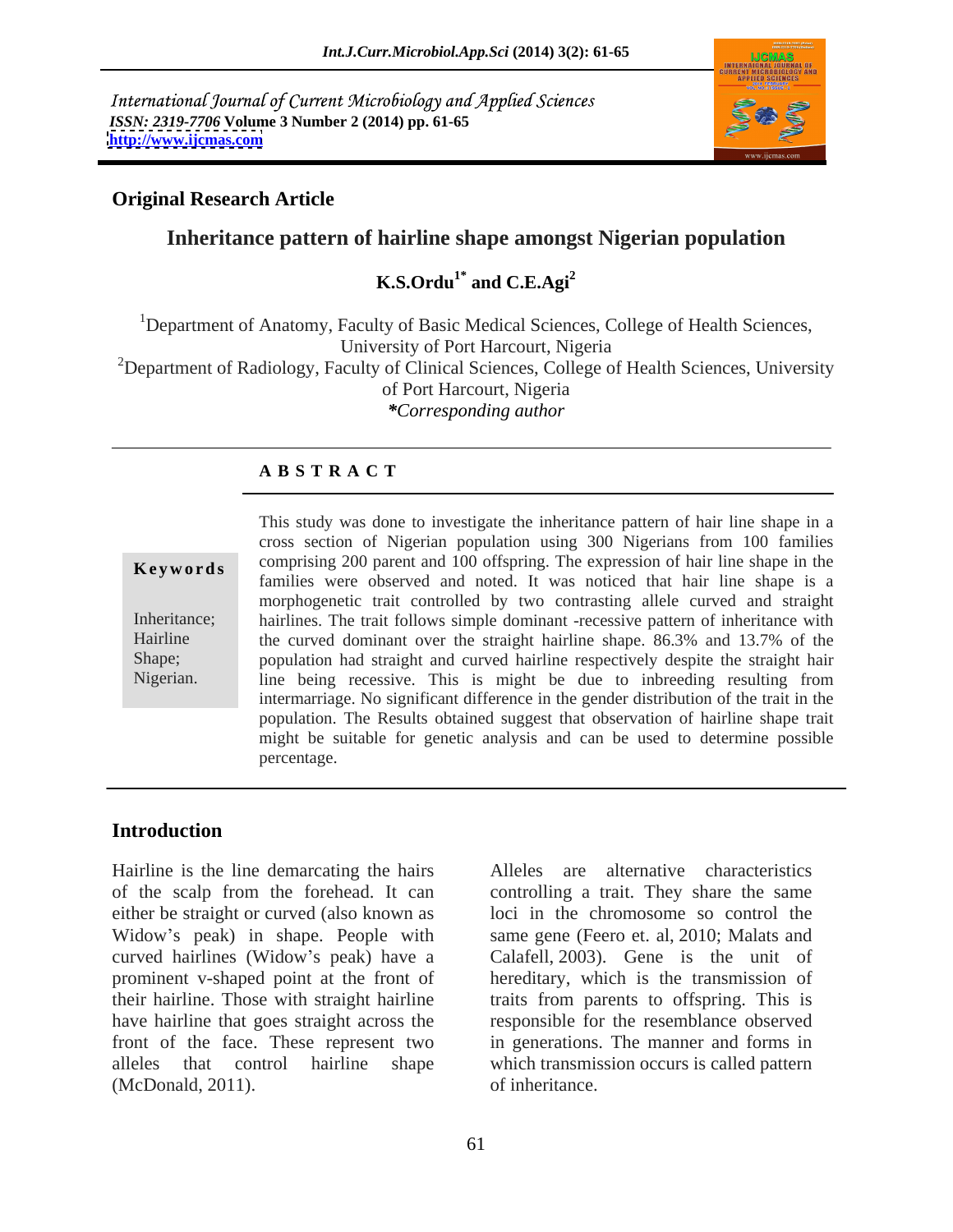International Journal of Current Microbiology and Applied Sciences *ISSN: 2319-7706* **Volume 3 Number 2 (2014) pp. 61-65 <http://www.ijcmas.com>**



### **Original Research Article**

## **Inheritance pattern of hairline shape amongst Nigerian population**

### **K.S.Ordu<sup>1\*</sup>** and **C.E.Agi<sup>2</sup> and C.E.Agi<sup>2</sup>**

<sup>1</sup>Department of Anatomy, Faculty of Basic Medical Sciences, College of Health Sciences, University of Port Harcourt, Nigeria <sup>2</sup>Department of Radiology, Faculty of Clinical Sciences, College of Health Sciences, University of Port Harcourt, Nigeria *\*Corresponding author* 

### **A B S T R A C T**

**Keywords** comprising 200 parent and 100 offspring. The expression of hair line shape in the Inheritance; hairlines. The trait follows simple dominant -recessive pattern of inheritance with Hairline the curved dominant over the straight hairline shape. 86.3% and 13.7% of the Shape; population had straight and curved hairline respectively despite the straight hair Nigerian. line being recessive. This is might be due to inbreeding resulting from This study was done to investigate the inheritance pattern of hair line shape in a cross section of Nigerian population using 300 Nigerians from 100 families families were observed and noted. It was noticed that hair line shape is a morphogenetic trait controlled by two contrasting allele curved and straight intermarriage. No significant difference in the gender distribution of the trait in the population. The Results obtained suggest that observation of hairline shape trait might be suitable for genetic analysis and can be used to determine possible percentage.

### **Introduction**

Hairline is the line demarcating the hairs of the scalp from the forehead. It can controlling a trait. They share the same either be straight or curved (also known as Widow's peak) in shape. People with curved hairlines (Widow's peak) have a prominent v-shaped point at the front of hereditary, which is the transmission of their hairline. Those with straight hairline traits from parents to offspring. This is have hairline that goes straight across the front of the face. These represent two in generations. The manner and forms in alleles that control hairline shape which transmission occurs is called pattern (McDonald, 2011).

Alleles are alternative characteristics loci in the chromosome so control the same gene (Feero et. al, 2010; Malats and Calafell, 2003). Gene is the unit of responsible for the resemblance observed of inheritance.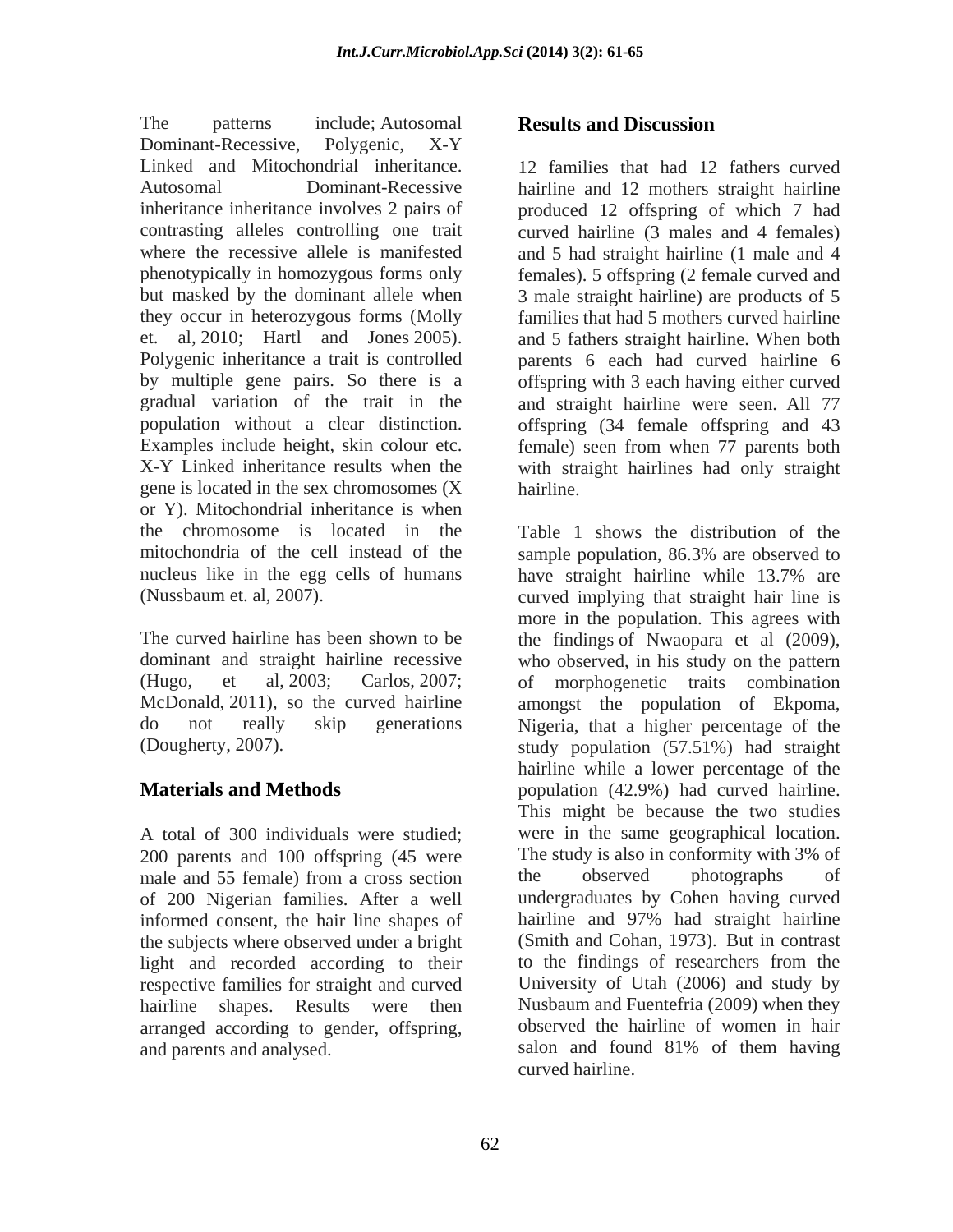The patterns include; Autosomal **Results and Discussion** Dominant-Recessive, Polygenic, X-Y Linked and Mitochondrial inheritance. 12 families that had 12 fathers curved Autosomal Dominant-Recessive hairline and 12 mothers straight hairline inheritance inheritance involves 2 pairs of produced 12 offspring of which 7 had contrasting alleles controlling one trait curved hairline (3 males and 4 females) where the recessive allele is manifested and 5 had straight hairline (1 male and 4 phenotypically in homozygous forms only females). 5 offspring (2 female curved and but masked by the dominant allele when 3 male straight hairline) are products of 5 they occur in heterozygous forms (Molly et. al, 2010; Hartl and Jones 2005). and 5 fathers straight hairline. When both Polygenic inheritance a trait is controlled parents 6 each had curved hairline 6 by multiple gene pairs. So there is a offspring with 3 each having either curved gradual variation of the trait in the and straight hairline were seen. All 77 population without a clear distinction. offspring (34 female offspring and 43 Examples include height, skin colour etc. female) seen from when 77 parents both X-Y Linked inheritance results when the with straight hairlines had only straight gene is located in the sex chromosomes (X or Y). Mitochondrial inheritance is when mitochondria of the cell instead of the sample population, 86.3% are observed to nucleus like in the egg cells of humans have straight hairline while 13.7% are

A total of 300 individuals were studied; 200 parents and 100 offspring (45 were of 200 Nigerian families. After a well informed consent, the hair line shapes of the subjects where observed under a bright light and recorded according to their hairline shapes. Results were then arranged according to gender, offspring,

### **Results and Discussion**

families that had 5 mothers curved hairline hairline.

the chromosome is located in the Table 1 shows the distribution of the (Nussbaum et. al, 2007). curved implying that straight hair line is The curved hairline has been shown to be the findings of Nwaopara et al (2009), dominant and straight hairline recessive who observed, in his study on the pattern (Hugo, et al, 2003; Carlos, 2007; of morphogenetic traits combination McDonald, 2011), so the curved hairline amongst the population of Ekpoma, do not really skip generations Nigeria, that a higher percentage of the (Dougherty, 2007). study population (57.51%) had straight **Materials and Methods population** (42.9%) had curved hairline. male and 55 female) from a cross section respective families for straight and curved University of Utah (2006) and study by and parents and analysed. salon and found 81% of them having sample population, 86.3% are observed to have straight hairline while 13.7% are more in the population. This agrees with hairline while a lower percentage of the This might be because the two studies were in the same geographical location. The study is also in conformity with 3% of the observed photographs of undergraduates by Cohen having curved hairline and 97% had straight hairline (Smith and Cohan, 1973). But in contrast to the findings of researchers from the Nusbaum and Fuentefria (2009) when they observed the hairline of women in hair curved hairline.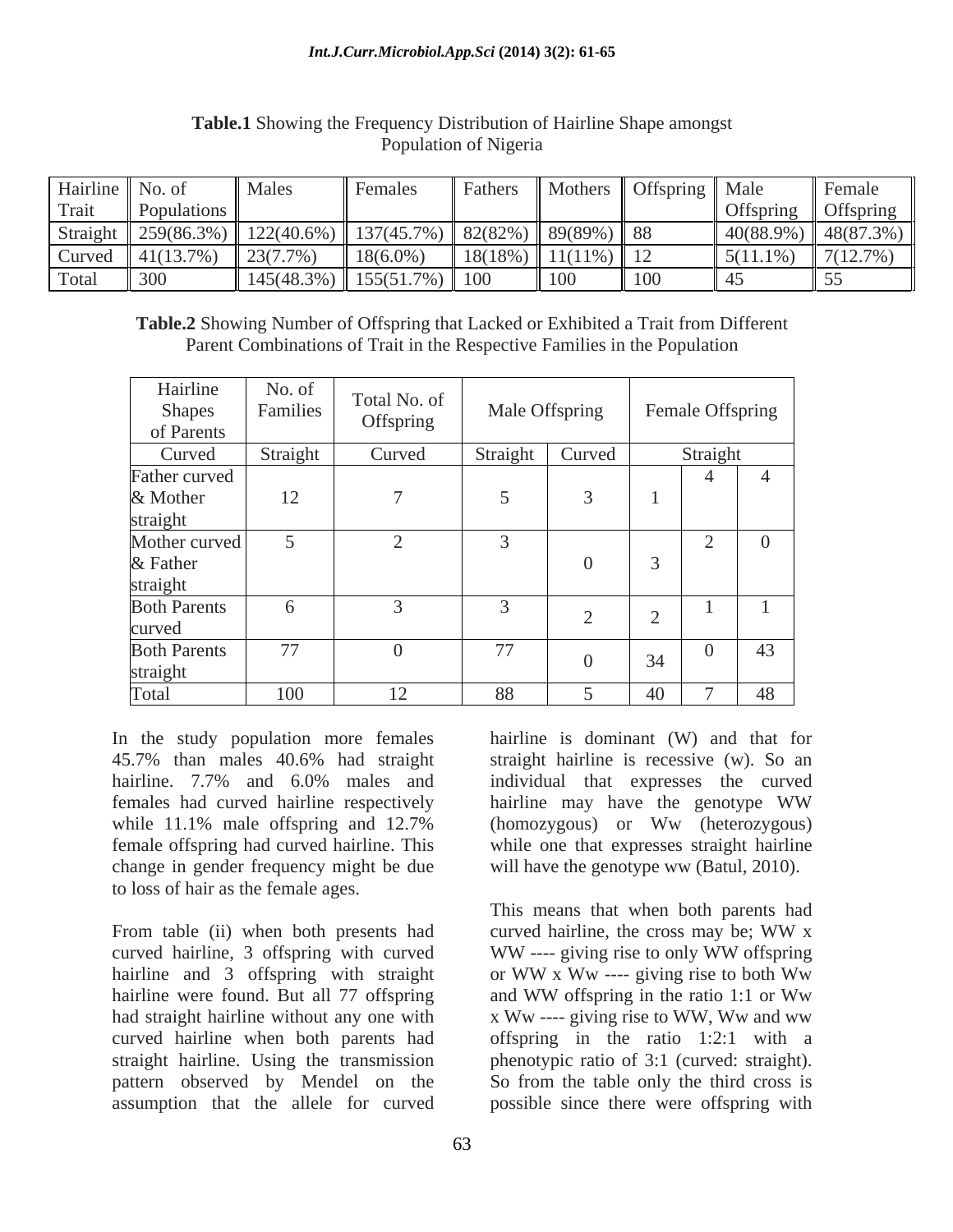### *Int.J.Curr.Microbiol.App.Sci* **(2014) 3(2): 61-65**

| Hairline   No. of |                       | "Male.                                                                                                                               | Females | Fathers    |               | Mothers    Offspring    Male |             | <b>Female</b>          |
|-------------------|-----------------------|--------------------------------------------------------------------------------------------------------------------------------------|---------|------------|---------------|------------------------------|-------------|------------------------|
| Trait             | Populations           |                                                                                                                                      |         |            |               |                              |             | <b>Offspring</b>       |
|                   |                       | Straight $\parallel$ 259(86.3%) $\parallel$ 122(40.6%) $\parallel$ 137(45.7%) $\parallel$ 82(82%) $\parallel$ 89(89%) $\parallel$ 88 |         |            |               |                              |             | $40(88.9\%)$ 48(87.3%) |
| Curved            | $\parallel$ 41(13.7%) | $\parallel$ 23(7.7%                                                                                                                  | 18(6.0% | $18(18\%)$ | $11(11\%)$ 12 |                              | $5(11.1\%)$ | 7(12.7%)               |
| Total             | 300                   | $\parallel$ 145(48.3%) $\parallel$ 155(51.7%) $\parallel$ 100                                                                        |         |            | $\vert$ 100   | $\vert$ 100                  |             |                        |

### **Table.1** Showing the Frequency Distribution of Hairline Shape amongst Population of Nigeria

**Table.2** Showing Number of Offspring that Lacked or Exhibited a Trait from Different Parent Combinations of Trait in the Respective Families in the Population

| Hairline<br>Shapes<br>of Parents               | No. of<br>Families <sup>1</sup> | Total No. of<br>Offspring | Male Offspring |          |                    | Female Offspring                   |                |
|------------------------------------------------|---------------------------------|---------------------------|----------------|----------|--------------------|------------------------------------|----------------|
| Curved                                         | Straight                        | Curved                    | Straight       | Curved   |                    | Straight                           |                |
| Father curved                                  |                                 |                           |                |          |                    | $\overline{4}$                     | $\overline{4}$ |
|                                                | 12                              |                           |                |          |                    |                                    |                |
|                                                |                                 |                           |                |          |                    |                                    |                |
| & Mother<br>straight<br>Mother curved          |                                 |                           |                |          |                    | $\sim$<br>$\overline{\phantom{0}}$ | $\overline{0}$ |
|                                                |                                 |                           |                | $\Omega$ |                    |                                    |                |
|                                                |                                 |                           |                |          |                    |                                    |                |
| & Father<br>straight<br>Both Parents<br>curved | $\sqrt{2}$                      |                           |                |          |                    |                                    |                |
| <b>Both Parents</b><br>straight                | 77                              |                           | 77             | $\Omega$ | 34                 |                                    | 43             |
| Total                                          | 100                             | $1^{\wedge}$<br>12        | 88             |          | $\Lambda$ $\Omega$ | $\sqrt{ }$                         | 48             |

In the study population more females 45.7% than males 40.6% had straight straight hairline is recessive (w). So an hairline. 7.7% and 6.0% males and individual that expresses the curved females had curved hairline respectively hairline may have the genotype WW while 11.1% male offspring and 12.7% (homozygous) or Ww (heterozygous) female offspring had curved hairline. This while one that expresses straight hairline change in gender frequency might be due

curved hairline, 3 offspring with curved WW ---- giving rise to only WW offspring hairline and 3 offspring with straight or WW x Ww ---- giving rise to both Ww hairline were found. But all 77 offspring and WW offspring in the ratio 1:1 or Ww pattern observed by Mendel on the

hairline is dominant (W) and that for individual that expresses the curved (homozygous) or Ww (heterozygous) will have the genotype ww (Batul, 2010).

to loss of hair as the female ages.<br>
From table (ii) when both presents had curved hairline, the cross may be; WW x had straight hairline without any one with x Ww ---- giving rise to WW, Ww and ww curved hairline when both parents had offspring in the ratio 1:2:1 with a straight hairline. Using the transmission phenotypic ratio of 3:1 (curved: straight). assumption that the allele for curved possible since there were offspring withThis means that when both parents had curved hairline, the cross may be; WW x WW ---- giving rise to only WW offspring or WW x Ww ---- giving rise to both Ww and WW offspring in the ratio 1:1 or Ww So from the table only the third cross is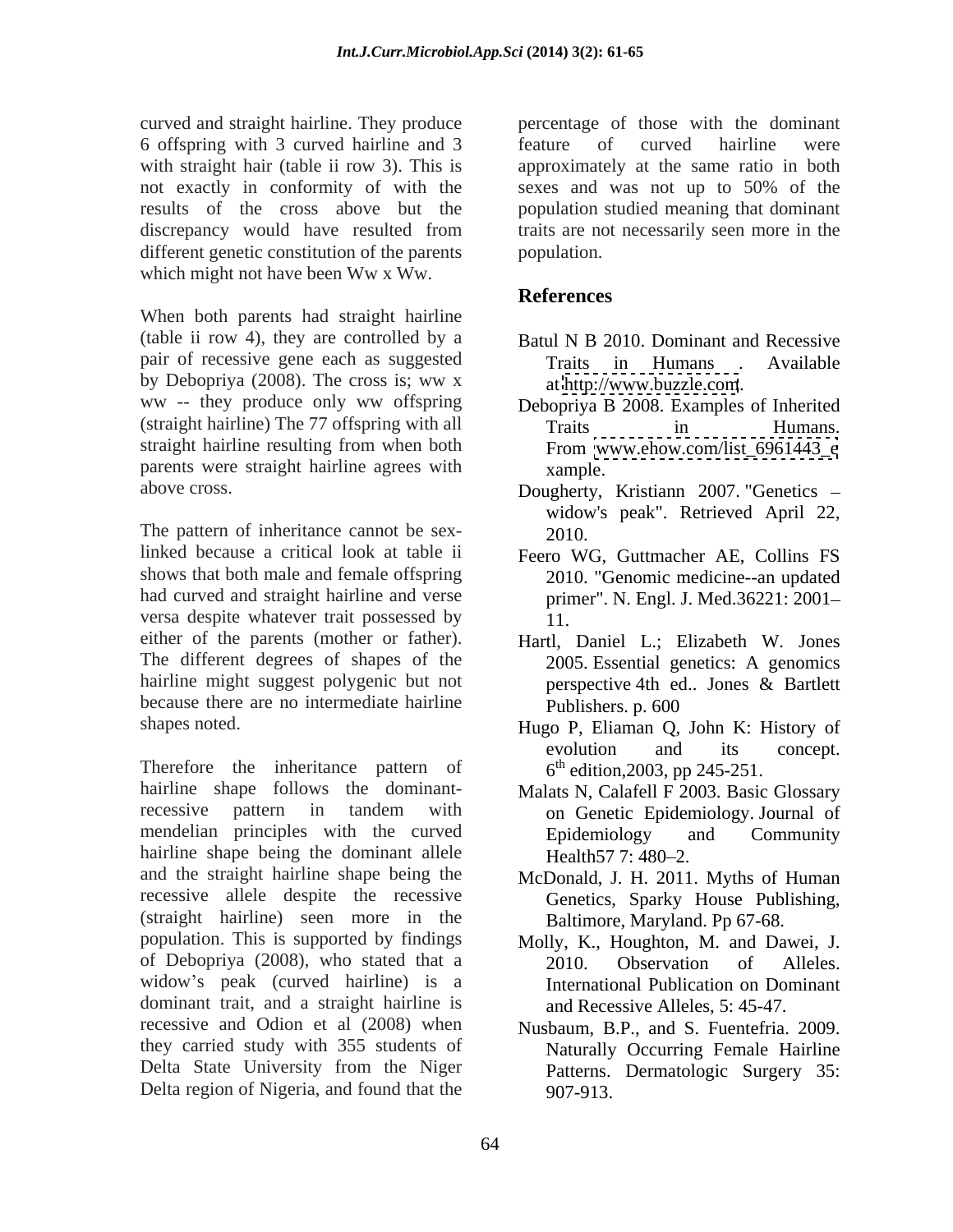curved and straight hairline. They produce 6 offspring with 3 curved hairline and 3 not exactly in conformity of with the sexes and was not up to 50% of the different genetic constitution of the parents population. which might not have been Ww x Ww.

When both parents had straight hairline (table ii row 4), they are controlled by a pair of recessive gene each as suggested by Debopriya (2008). The cross is; ww x ww -- they produce only ww offspring (straight hairline) The 77 offspring with all straight hairline resulting from when both parents were straight hairline agrees with xample.

The pattern of inheritance cannot be sex-<br>2010. linked because a critical look at table ii Feero WG, Guttmacher AE, Collins FS shows that both male and female offspring had curved and straight hairline and verse versa despite whatever trait possessed by  $\frac{1}{1}$ . either of the parents (mother or father). Hartl, Daniel L.; Elizabeth W. Jones The different degrees of shapes of the hairline might suggest polygenic but not perspective 4th ed.. Jones & Bartlett because there are no intermediate hairline Publishers. p. 600

Therefore the inheritance pattern of hairline shape follows the dominant-<br>Malats N, Calafell F 2003. Basic Glossary recessive pattern in tandem with on Genetic Epidemiology Journal of mendelian principles with the curved<br>
Epidemiology and Community hairline shape being the dominant allele Health 57 7: 480–2. and the straight hairline shape being the McDonald, J. H. 2011. Myths of Human recessive allele despite the recessive (straight hairline) seen more in the population. This is supported by findings Molly, K., Houghton, M. and Dawei, J. of Debopriya (2008), who stated that a  $2010$ . Observation of Alleles. widow's peak (curved hairline) is a dominant trait, and a straight hairline is recessive and Odion et al (2008) when Nusbaum, B.P., and S. Fuentefria. 2009. they carried study with 355 students of Delta State University from the Niger Delta region of Nigeria, and found that the

with straight hair (table ii row 3). This is approximately at the same ratio in both results of the cross above but the population studied meaning that dominant discrepancy would have resulted from traits are not necessarily seen more in the percentage of those with the dominant feature of curved hairline were sexes and was not up to 50% of the population.

# **References**

- Batul N B 2010. Dominant and Recessive Traits in Humans . Available at <http://www.buzzle.com>.
- Debopriya B 2008. Examples of Inherited Traits in Humans. From [www.ehow.com/list\\_6961443\\_e](http://www.ehow.com/list_6961443_e) xample.
- above cross. Dougherty, Kristiann 2007. "Genetics widow's peak". Retrieved April 22, 2010.
	- 2010. "Genomic medicine--an updated primer". N. Engl. J. Med.36221: 2001 11.
	- 2005. Essential genetics: A genomics perspective 4th ed.. Jones & Bartlett Publishers. p. 600
- shapes noted. Hugo P, Eliaman Q, John K: History of evolution and its concept.  $6<sup>th</sup>$  edition, 2003, pp 245-251.
	- on Genetic Epidemiology. Journal of Epidemiology and Community Health 57 7: 480–2.
	- Genetics, Sparky House Publishing, Baltimore, Maryland. Pp 67-68.
	- 2010. Observation of Alleles. International Publication on Dominant and Recessive Alleles, 5: 45-47.
	- Naturally Occurring Female Hairline Patterns. Dermatologic Surgery 35: 907-913.